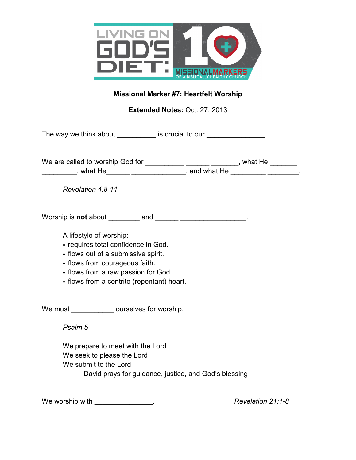

## **Missional Marker #7: Heartfelt Worship**

**Extended Notes:** Oct. 27, 2013

The way we think about The way we think about  $\sim$  is crucial to our  $\sim$ 

We are called to worship God for \_\_\_\_\_\_\_\_\_\_\_\_\_\_\_\_\_\_\_\_\_\_\_\_\_\_\_\_, what He \_\_\_\_\_\_\_\_ \_\_\_\_\_\_\_\_\_, what He\_\_\_\_\_\_ \_\_\_\_\_\_\_\_\_\_\_\_\_\_, and what He \_\_\_\_\_\_\_\_\_ \_\_\_\_\_\_\_\_.

 *Revelation 4:8-11* 

Worship is **not** about \_\_\_\_\_\_\_\_ and \_\_\_\_\_\_ \_\_\_\_\_\_\_\_\_\_\_\_\_\_\_\_\_.

A lifestyle of worship:

- requires total confidence in God.
- flows out of a submissive spirit.
- flows from courageous faith.
- flows from a raw passion for God.
- flows from a contrite (repentant) heart.

We must durselves for worship.

 *Psalm 5* 

 We prepare to meet with the Lord We seek to please the Lord We submit to the Lord David prays for guidance, justice, and God's blessing

We worship with \_\_\_\_\_\_\_\_\_\_\_\_\_\_\_. *Revelation 21:1-8*